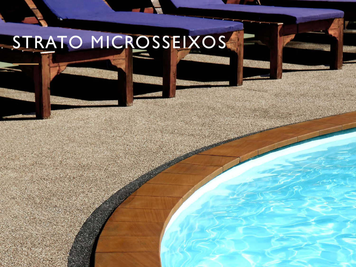# STRATO MICROSSEIXOS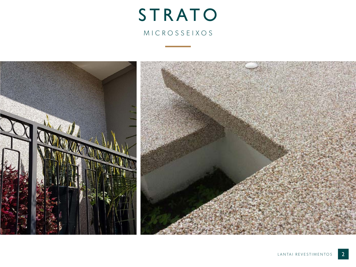# STRATO MICROSSEIXOS

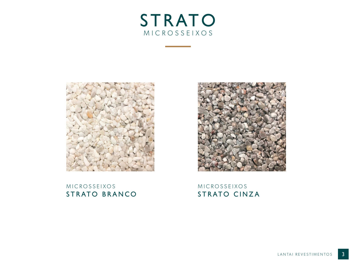



## M I C R O S S E I X O S STRATO BRANCO



### MICROSSEIXOS STRATO CINZA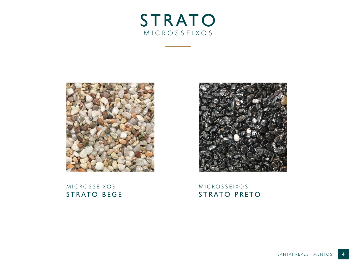



### MICROSSEIXOS STRATO BEGE



MICROSSEIXOS STRATO PRETO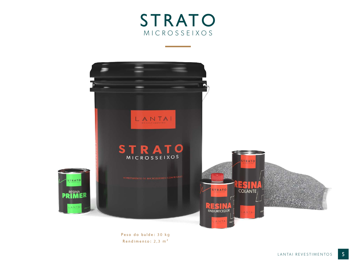



Peso do balde: 30 kg Rendimento: 2,3 m²